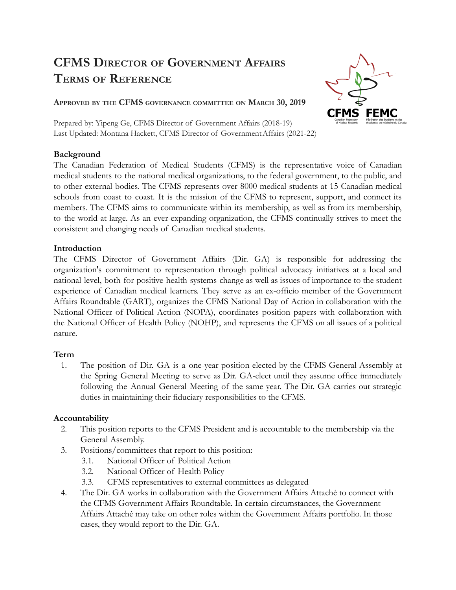# **CFMS DIRECTOR OF GOVERNMENT AFFAIRS TERMS OF REFERENCE**



**APPROVED BY THE CFMS GOVERNANCE COMMITTEE ON MARCH 30, 2019**

Prepared by: Yipeng Ge, CFMS Director of Government Affairs (2018-19) Last Updated: Montana Hackett, CFMS Director of GovernmentAffairs (2021-22)

### **Background**

The Canadian Federation of Medical Students (CFMS) is the representative voice of Canadian medical students to the national medical organizations, to the federal government, to the public, and to other external bodies. The CFMS represents over 8000 medical students at 15 Canadian medical schools from coast to coast. It is the mission of the CFMS to represent, support, and connect its members. The CFMS aims to communicate within its membership, as well as from its membership, to the world at large. As an ever-expanding organization, the CFMS continually strives to meet the consistent and changing needs of Canadian medical students.

### **Introduction**

The CFMS Director of Government Affairs (Dir. GA) is responsible for addressing the organization's commitment to representation through political advocacy initiatives at a local and national level, both for positive health systems change as well as issues of importance to the student experience of Canadian medical learners. They serve as an ex-officio member of the Government Affairs Roundtable (GART), organizes the CFMS National Day of Action in collaboration with the National Officer of Political Action (NOPA), coordinates position papers with collaboration with the National Officer of Health Policy (NOHP), and represents the CFMS on all issues of a political nature.

# **Term**

1. The position of Dir. GA is a one-year position elected by the CFMS General Assembly at the Spring General Meeting to serve as Dir. GA-elect until they assume office immediately following the Annual General Meeting of the same year. The Dir. GA carries out strategic duties in maintaining their fiduciary responsibilities to the CFMS.

# **Accountability**

- 2. This position reports to the CFMS President and is accountable to the membership via the General Assembly.
- 3. Positions/committees that report to this position:
	- 3.1. National Officer of Political Action
	- 3.2. National Officer of Health Policy
	- 3.3. CFMS representatives to external committees as delegated
- 4. The Dir. GA works in collaboration with the Government Affairs Attaché to connect with the CFMS Government Affairs Roundtable. In certain circumstances, the Government Affairs Attaché may take on other roles within the Government Affairs portfolio. In those cases, they would report to the Dir. GA.